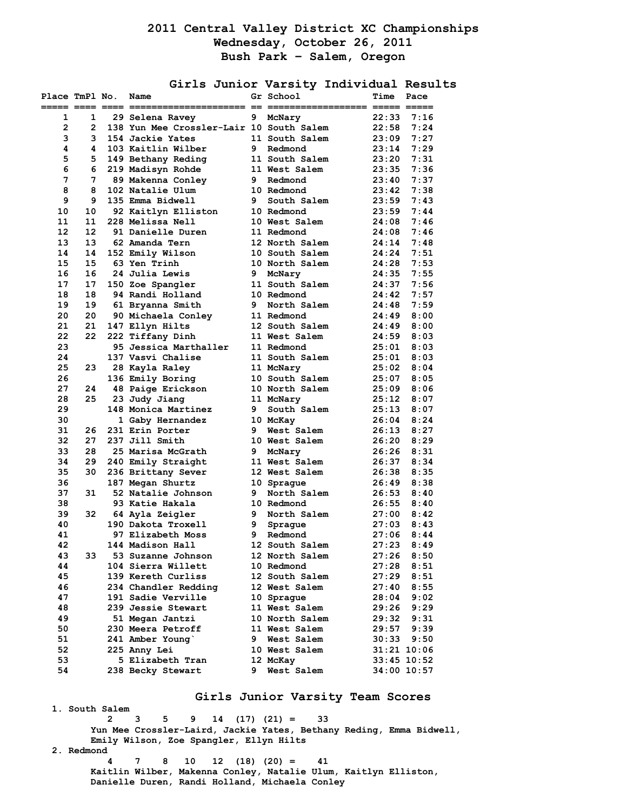## **2011 Central Valley District XC Championships Wednesday, October 26, 2011 Bush Park – Salem, Oregon**

**Girls Junior Varsity Individual Results** 

| Place TmPl No.<br>===== ==== ==== == |    | Name<br>================                 |    | Gr School<br>$==$ $==$<br>:============= ===== ===== | Time  | Pace            |
|--------------------------------------|----|------------------------------------------|----|------------------------------------------------------|-------|-----------------|
| 1                                    | 1  | 29 Selena Ravey                          | 9  | McNary                                               | 22:33 | 7:16            |
| $\overline{2}$                       | 2  | 138 Yun Mee Crossler-Lair 10 South Salem |    |                                                      | 22:58 | 7:24            |
| 3                                    | 3  | 154 Jackie Yates                         |    | 11 South Salem                                       | 23:09 | 7:27            |
| 4                                    | 4  | 103 Kaitlin Wilber                       | 9  | Redmond                                              | 23:14 | 7:29            |
| 5                                    | 5. | 149 Bethany Reding                       |    | 11 South Salem                                       | 23:20 | 7:31            |
| 6                                    | 6  | 219 Madisyn Rohde                        |    | 11 West Salem                                        | 23:35 | 7:36            |
| 7                                    | 7  | 89 Makenna Conley                        | 9. | Redmond                                              | 23:40 | 7:37            |
| 8                                    | 8  | 102 Natalie Ulum                         |    | 10 Redmond                                           | 23:42 | 7:38            |
| 9                                    | 9  | 135 Emma Bidwell                         | 9. | South Salem                                          | 23:59 | 7:43            |
| 10                                   | 10 | 92 Kaitlyn Elliston                      |    | 10 Redmond                                           | 23:59 | 7:44            |
| 11                                   | 11 | 228 Melissa Nell                         |    | 10 West Salem                                        | 24:08 | 7:46            |
| 12                                   | 12 | 91 Danielle Duren                        |    | 11 Redmond                                           | 24:08 | 7:46            |
| 13                                   | 13 | 62 Amanda Tern                           |    | 12 North Salem                                       | 24:14 | 7:48            |
| 14                                   | 14 | 152 Emily Wilson                         |    | 10 South Salem                                       | 24:24 | 7:51            |
| 15                                   | 15 | 63 Yen Trinh                             |    | 10 North Salem                                       | 24:28 | 7:53            |
| 16                                   | 16 | 24 Julia Lewis                           | 9  | McNary                                               | 24:35 | 7:55            |
| 17                                   | 17 | 150 Zoe Spangler                         |    | 11 South Salem                                       | 24:37 | 7:56            |
| 18                                   | 18 | 94 Randi Holland                         |    | 10 Redmond                                           | 24:42 | 7:57            |
| 19                                   | 19 | 61 Bryanna Smith                         | 9  | North Salem                                          | 24:48 | 7:59            |
| 20                                   | 20 | 90 Michaela Conley                       |    | 11 Redmond                                           | 24:49 | 8:00            |
| 21                                   | 21 | 147 Ellyn Hilts                          |    | 12 South Salem                                       | 24:49 | 8:00            |
| 22                                   | 22 | 222 Tiffany Dinh                         |    | 11 West Salem                                        | 24:59 | 8:03            |
| 23                                   |    | 95 Jessica Marthaller                    |    | 11 Redmond                                           | 25:01 | 8:03            |
| 24                                   |    | 137 Vasvi Chalise                        |    | 11 South Salem                                       | 25:01 | 8:03            |
| 25                                   | 23 | 28 Kayla Raley                           |    | 11 McNary                                            | 25:02 | 8:04            |
| 26                                   |    | 136 Emily Boring                         |    | 10 South Salem                                       | 25:07 | 8:05            |
| 27                                   | 24 | 48 Paige Erickson                        |    | 10 North Salem                                       | 25:09 | 8:06            |
| 28                                   | 25 | 23 Judy Jiang                            |    | 11 McNary                                            | 25:12 | 8:07            |
| 29                                   |    | 148 Monica Martinez                      | 9. | South Salem                                          | 25:13 | 8:07            |
| 30                                   |    | 1 Gaby Hernandez                         |    | 10 McKay                                             | 26:04 | 8:24            |
| 31                                   | 26 | 231 Erin Porter                          | 9  | West Salem                                           | 26:13 | 8:27            |
| 32                                   | 27 | 237 Jill Smith                           |    | 10 West Salem                                        | 26:20 | 8:29            |
| 33                                   | 28 | 25 Marisa McGrath                        | 9  | McNary                                               | 26:26 | 8:31            |
| 34                                   | 29 | 240 Emily Straight                       |    | 11 West Salem                                        | 26:37 | 8:34            |
| 35                                   | 30 | 236 Brittany Sever                       |    | 12 West Salem                                        | 26:38 | 8:35            |
| 36                                   |    | 187 Megan Shurtz                         |    | 10 Spraque                                           | 26:49 | 8:38            |
| 37                                   | 31 | 52 Natalie Johnson                       | 9  | North Salem                                          | 26:53 | 8:40            |
| 38                                   |    | 93 Katie Hakala                          |    | 10 Redmond                                           | 26:55 | 8:40            |
| 39                                   | 32 | 64 Ayla Zeigler                          | 9. | North Salem                                          | 27:00 | 8:42            |
| 40                                   |    | 190 Dakota Troxell                       | 9  | Sprague                                              | 27:03 | 8:43            |
| 41                                   |    | 97 Elizabeth Moss                        | 9. | Redmond                                              | 27:06 | 8:44            |
| 42                                   |    | 144 Madison Hall                         |    | 12 South Salem                                       | 27:23 | 8:49            |
| 43                                   | 33 | 53 Suzanne Johnson                       |    | 12 North Salem                                       | 27:26 | 8:50            |
| 44                                   |    | 104 Sierra Willett                       |    | 10 Redmond                                           | 27:28 | 8:51            |
| 45                                   |    | 139 Kereth Curliss                       |    | 12 South Salem                                       | 27:29 | 8:51            |
| 46                                   |    | 234 Chandler Redding                     |    | 12 West Salem                                        | 27:40 | 8:55            |
| 47                                   |    | 191 Sadie Verville                       |    | 10 Sprague                                           | 28:04 | 9:02            |
| 48                                   |    | 239 Jessie Stewart                       |    | 11 West Salem                                        | 29:26 | 9:29            |
| 49                                   |    | 51 Megan Jantzi                          |    | 10 North Salem                                       | 29:32 | 9:31            |
| 50                                   |    | 230 Meera Petroff                        |    | 11 West Salem                                        | 29:57 | 9:39            |
| 51                                   |    | 241 Amber Young                          | 9. | West Salem                                           | 30:33 | 9:50            |
| 52                                   |    | 225 Anny Lei                             |    | 10 West Salem                                        |       | 31:21 10:06     |
| 53                                   |    | 5 Elizabeth Tran                         |    | 12 McKay                                             |       | $33:45$ $10:52$ |
| 54                                   |    | 238 Becky Stewart                        | 9. | West Salem                                           |       | 34:00 10:57     |

**Girls Junior Varsity Team Scores** 

 **1. South Salem 2 3 5 9 14 (17) (21) = 33 Yun Mee Crossler-Laird, Jackie Yates, Bethany Reding, Emma Bidwell, Emily Wilson, Zoe Spangler, Ellyn Hilts 2. Redmond 4 7 8 10 12 (18) (20) = 41 Kaitlin Wilber, Makenna Conley, Natalie Ulum, Kaitlyn Elliston,** 

 **Danielle Duren, Randi Holland, Michaela Conley**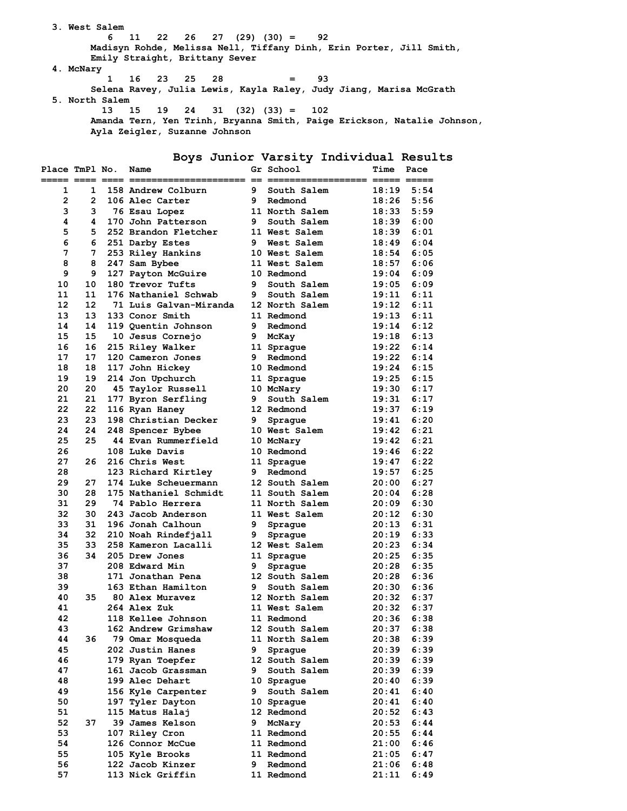**3. West Salem 6 11 22 26 27 (29) (30) = 92 Madisyn Rohde, Melissa Nell, Tiffany Dinh, Erin Porter, Jill Smith, Emily Straight, Brittany Sever 4. McNary 1 16 23 25 28 = 93 Selena Ravey, Julia Lewis, Kayla Raley, Judy Jiang, Marisa McGrath 5. North Salem 13 15 19 24 31 (32) (33) = 102 Amanda Tern, Yen Trinh, Bryanna Smith, Paige Erickson, Natalie Johnson, Ayla Zeigler, Suzanne Johnson** 

## **Boys Junior Varsity Individual Results**

| Place TmPl No.<br>===== ==== ==== = |                | Name                      |    | Gr School         | Time  | Pace |
|-------------------------------------|----------------|---------------------------|----|-------------------|-------|------|
| 1                                   | 1              | 158 Andrew Colburn        | 9  | South Salem       | 18:19 | 5:54 |
| $\overline{2}$                      | $\overline{2}$ | 106 Alec Carter           | 9  | Redmond           | 18:26 | 5:56 |
| 3                                   | 3              | 76 Esau Lopez             |    | 11 North Salem    | 18:33 | 5:59 |
| 4                                   | 4              | 170 John Patterson        | 9  | South Salem       | 18:39 | 6:00 |
| 5                                   | 5.             | 252 Brandon Fletcher      |    | 11 West Salem     | 18:39 | 6:01 |
| 6                                   | 6.             | 251 Darby Estes           | 9  | West Salem        | 18:49 | 6:04 |
| 7                                   | 7              | 253 Riley Hankins         |    | 10 West Salem     | 18:54 | 6:05 |
| 8                                   | 8              | 247 Sam Bybee             |    | 11 West Salem     | 18:57 | 6:06 |
| 9                                   | 9              | 127 Payton McGuire        |    | 10 Redmond        | 19:04 | 6:09 |
| 10                                  | 10             | 180 Trevor Tufts          | 9  | South Salem       | 19:05 | 6:09 |
| 11                                  | 11             | 176 Nathaniel Schwab      | 9  | South Salem       | 19:11 | 6:11 |
| 12                                  | 12             | 71 Luis Galvan-Miranda    |    | 12 North Salem    | 19:12 | 6:11 |
| 13                                  | 13             | 133 Conor Smith           |    | 11 Redmond        | 19:13 | 6:11 |
| 14                                  | 14             | 119 Quentin Johnson       | 9  | Redmond           | 19:14 | 6:12 |
| 15                                  | 15             | 10 Jesus Cornejo          | 9. | McKay             | 19:18 | 6:13 |
| 16                                  | 16             | 215 Riley Walker          |    | 11 Sprague        | 19:22 | 6:14 |
| 17                                  | 17             | 120 Cameron Jones         | 9  | Redmond           | 19:22 | 6:14 |
| 18                                  | 18             | 117 John Hickey           |    | 10 Redmond        | 19:24 | 6:15 |
| 19                                  | 19             | 214 Jon Upchurch          |    | 11 Sprague        | 19:25 | 6:15 |
| 20                                  | 20             | 45 Taylor Russell         |    | 10 McNary         | 19:30 | 6:17 |
| 21                                  | 21             | 177 Byron Serfling        | 9  | South Salem       | 19:31 | 6:17 |
| 22                                  | 22             | 116 Ryan Haney            |    | 12 Redmond        | 19:37 | 6:19 |
| 23                                  | 23             | 198 Christian Decker      | 9  | Spraque           | 19:41 | 6:20 |
| 24                                  | 24             | 248 Spencer Bybee         |    | 10 West Salem     | 19:42 | 6:21 |
| 25                                  | 25             | 44 Evan Rummerfield       |    | 10 McNary         | 19:42 | 6:21 |
| 26                                  |                | 108 Luke Davis            |    | 10 Redmond        | 19:46 | 6:22 |
| 27                                  | 26             | 216 Chris West            |    | 11 Spraque        | 19:47 | 6:22 |
| 28                                  |                | 123 Richard Kirtley       | 9  | Redmond           | 19:57 | 6:25 |
| 29                                  | 27             | 174 Luke Scheuermann      |    | 12 South Salem    | 20:00 | 6:27 |
| 30                                  | 28             | 175 Nathaniel Schmidt     |    | 11 South Salem    | 20:04 | 6:28 |
| 31                                  | 29             | 74 Pablo Herrera          |    | 11 North Salem    | 20:09 | 6:30 |
| 32                                  | 30             | 243 Jacob Anderson        |    | 11 West Salem     | 20:12 | 6:30 |
| 33                                  | 31             | 196 Jonah Calhoun         | 9  | Sprague           | 20:13 | 6:31 |
| 34                                  | 32             | 210 Noah Rindefjall       | 9  | Sprague           | 20:19 | 6:33 |
| 35                                  | 33             | 258 Kameron Lacalli       |    | 12 West Salem     | 20:23 | 6:34 |
| 36                                  | 34             | 205 Drew Jones            |    | 11 Sprague        | 20:25 | 6:35 |
| 37                                  |                | 208 Edward Min            | 9  | Sprague           | 20:28 | 6:35 |
| 38                                  |                | 171 Jonathan Pena         |    | 12 South Salem    | 20:28 | 6:36 |
| 39                                  |                | 163 Ethan Hamilton        | 9  | South Salem       | 20:30 | 6:36 |
| 40                                  | 35             | 80 Alex Muravez           |    | 12 North Salem    | 20:32 | 6:37 |
| 41                                  |                | 264 Alex Zuk              |    | 11 West Salem     | 20:32 | 6:37 |
| 42                                  |                | <b>118 Kellee Johnson</b> |    | <b>11 Redmond</b> | 20:36 | 6:38 |
| 43                                  |                | 162 Andrew Grimshaw       |    | 12 South Salem    | 20:37 | 6:38 |
| 44                                  | 36             | 79 Omar Mosqueda          |    | 11 North Salem    | 20:38 | 6:39 |
| 45                                  |                | 202 Justin Hanes          | 9. | Spraque           | 20:39 | 6:39 |
| 46                                  |                | 179 Ryan Toepfer          |    | 12 South Salem    | 20:39 | 6:39 |
| 47                                  |                | 161 Jacob Grassman        | 9  | South Salem       | 20:39 | 6:39 |
| 48                                  |                | 199 Alec Dehart           |    | 10 Sprague        | 20:40 | 6:39 |
| 49                                  |                | 156 Kyle Carpenter        | 9  | South Salem       | 20:41 | 6:40 |
| 50                                  |                | 197 Tyler Dayton          |    | 10 Sprague        | 20:41 | 6:40 |
| 51                                  |                | 115 Matus Halaj           |    | 12 Redmond        | 20:52 | 6:43 |
| 52                                  | 37             | 39 James Kelson           | 9  | McNary            | 20:53 | 6:44 |
| 53                                  |                | 107 Riley Cron            |    | 11 Redmond        | 20:55 | 6:44 |
| 54                                  |                | 126 Connor McCue          |    | 11 Redmond        | 21:00 | 6:46 |
| 55                                  |                | 105 Kyle Brooks           |    | 11 Redmond        | 21:05 | 6:47 |
| 56                                  |                | 122 Jacob Kinzer          | 9  | Redmond           | 21:06 | 6:48 |
| 57                                  |                | 113 Nick Griffin          |    | 11 Redmond        | 21:11 | 6:49 |
|                                     |                |                           |    |                   |       |      |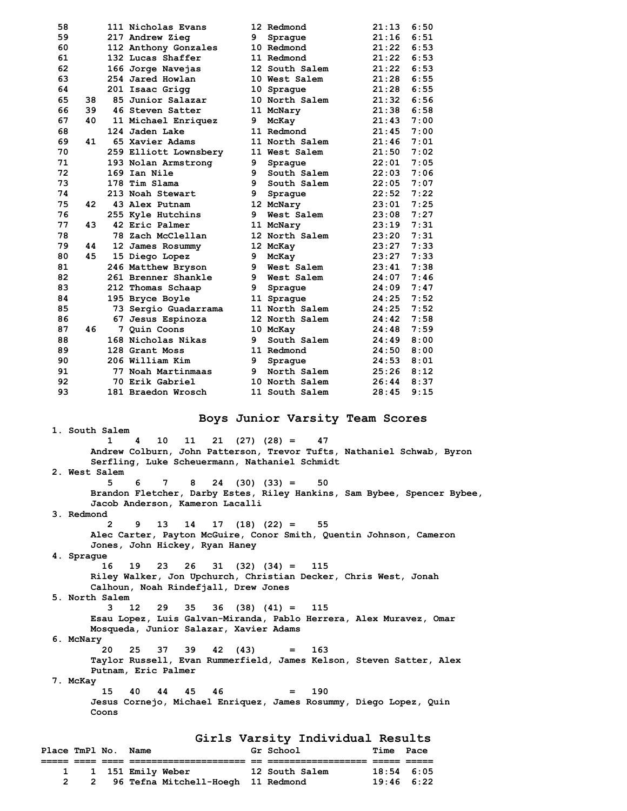| 58 |    | 111 Nicholas Evans    |    | 12 Redmond     | 21:13 | 6:50 |
|----|----|-----------------------|----|----------------|-------|------|
| 59 |    | 217 Andrew Zieg       | 9  | Spraque        | 21:16 | 6:51 |
| 60 |    | 112 Anthony Gonzales  |    | 10 Redmond     | 21:22 | 6:53 |
| 61 |    | 132 Lucas Shaffer     |    | 11 Redmond     | 21:22 | 6:53 |
| 62 |    | 166 Jorge Navejas     |    | 12 South Salem | 21:22 | 6:53 |
| 63 |    | 254 Jared Howlan      |    | 10 West Salem  | 21:28 | 6:55 |
| 64 |    | 201 Isaac Grigg       |    | 10 Sprague     | 21:28 | 6:55 |
| 65 | 38 | 85 Junior Salazar     |    | 10 North Salem | 21:32 | 6:56 |
| 66 | 39 | 46 Steven Satter      |    | 11 McNary      | 21:38 | 6:58 |
| 67 | 40 | 11 Michael Enriquez   | 9  | McKay          | 21:43 | 7:00 |
| 68 |    | 124 Jaden Lake        |    | 11 Redmond     | 21:45 | 7:00 |
| 69 | 41 | 65 Xavier Adams       |    | 11 North Salem | 21:46 | 7:01 |
| 70 |    | 259 Elliott Lownsbery |    | 11 West Salem  | 21:50 | 7:02 |
| 71 |    | 193 Nolan Armstrong   | 9  | Spraque        | 22:01 | 7:05 |
| 72 |    | 169 Ian Nile          | 9  | South Salem    | 22:03 | 7:06 |
| 73 |    | 178 Tim Slama         | 9  | South Salem    | 22:05 | 7:07 |
| 74 |    | 213 Noah Stewart      | 9  | Sprague        | 22:52 | 7:22 |
| 75 | 42 | 43 Alex Putnam        |    | 12 McNary      | 23:01 | 7:25 |
| 76 |    | 255 Kyle Hutchins     | 9  | West Salem     | 23:08 | 7:27 |
| 77 | 43 | 42 Eric Palmer        |    | 11 McNary      | 23:19 | 7:31 |
| 78 |    | 78 Zach McClellan     |    | 12 North Salem | 23:20 | 7:31 |
| 79 | 44 | 12 James Rosummy      |    | 12 McKay       | 23:27 | 7:33 |
| 80 | 45 | 15 Diego Lopez        | 9  | McKay          | 23:27 | 7:33 |
| 81 |    | 246 Matthew Bryson    | 9  | West Salem     | 23:41 | 7:38 |
| 82 |    | 261 Brenner Shankle   | 9. | West Salem     | 24:07 | 7:46 |
| 83 |    | 212 Thomas Schaap     | 9  | Spraque        | 24:09 | 7:47 |
| 84 |    | 195 Bryce Boyle       |    | 11 Sprague     | 24:25 | 7:52 |
| 85 |    | 73 Sergio Guadarrama  |    | 11 North Salem | 24:25 | 7:52 |
| 86 |    | 67 Jesus Espinoza     |    | 12 North Salem | 24:42 | 7:58 |
| 87 | 46 | 7 Quin Coons          |    | 10 McKay       | 24:48 | 7:59 |
| 88 |    | 168 Nicholas Nikas    | 9  | South Salem    | 24:49 | 8:00 |
| 89 |    | 128 Grant Moss        |    | 11 Redmond     | 24:50 | 8:00 |
| 90 |    | 206 William Kim       | 9  | Spraque        | 24:53 | 8:01 |
| 91 |    | 77 Noah Martinmaas    | 9  | North Salem    | 25:26 | 8:12 |
| 92 |    | 70 Erik Gabriel       |    | 10 North Salem | 26:44 | 8:37 |
| 93 |    | 181 Braedon Wrosch    |    | 11 South Salem | 28:45 | 9:15 |
|    |    |                       |    |                |       |      |

 **1. South Salem** 

## **Boys Junior Varsity Team Scores**

 **1 4 10 11 21 (27) (28) = 47 Andrew Colburn, John Patterson, Trevor Tufts, Nathaniel Schwab, Byron Serfling, Luke Scheuermann, Nathaniel Schmidt 2. West Salem 5 6 7 8 24 (30) (33) = 50 Brandon Fletcher, Darby Estes, Riley Hankins, Sam Bybee, Spencer Bybee, Jacob Anderson, Kameron Lacalli 3. Redmond 2 9 13 14 17 (18) (22) = 55 Alec Carter, Payton McGuire, Conor Smith, Quentin Johnson, Cameron Jones, John Hickey, Ryan Haney 4. Sprague 16 19 23 26 31 (32) (34) = 115 Riley Walker, Jon Upchurch, Christian Decker, Chris West, Jonah Calhoun, Noah Rindefjall, Drew Jones 5. North Salem 3 12 29 35 36 (38) (41) = 115 Esau Lopez, Luis Galvan-Miranda, Pablo Herrera, Alex Muravez, Omar Mosqueda, Junior Salazar, Xavier Adams 6. McNary 20 25 37 39 42 (43) = 163 Taylor Russell, Evan Rummerfield, James Kelson, Steven Satter, Alex Putnam, Eric Palmer 7. McKay 15 40 44 45 46 = 190 Jesus Cornejo, Michael Enriquez, James Rosummy, Diego Lopez, Quin Coons Girls Varsity Individual Results**  Place TmPl No. Name

|  |  | __________                           | --<br>__ | ------------   |              |  |
|--|--|--------------------------------------|----------|----------------|--------------|--|
|  |  | 1 151 Emily Weber                    |          | 12 South Salem | $18:54$ 6:05 |  |
|  |  | 2 96 Tefna Mitchell-Hoegh 11 Redmond |          |                | $19:46$ 6:22 |  |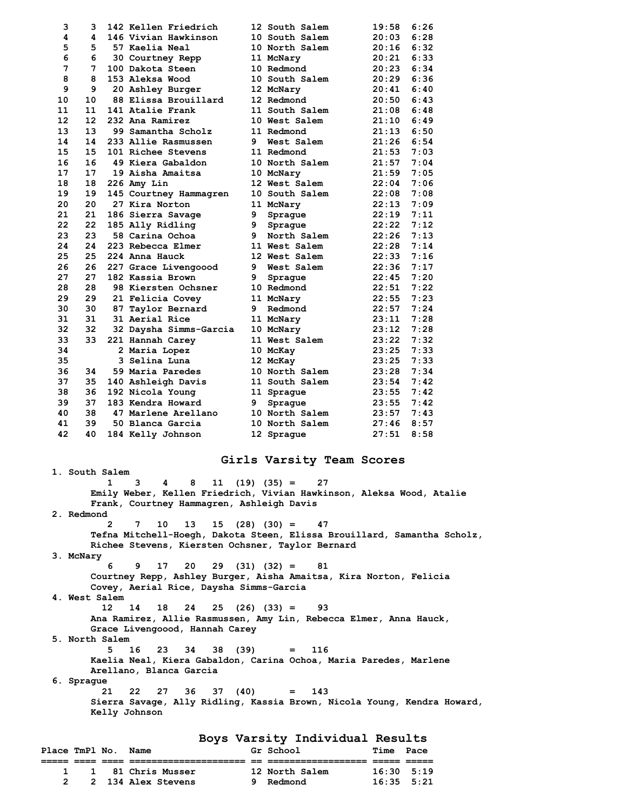| 3                 | 3                 | 142 Kellen Friedrich   |   | 12 South Salem | 19:58 | 6:26 |
|-------------------|-------------------|------------------------|---|----------------|-------|------|
| 4                 | 4                 | 146 Vivian Hawkinson   |   | 10 South Salem | 20:03 | 6:28 |
| 5                 | 5                 | 57 Kaelia Neal         |   | 10 North Salem | 20:16 | 6:32 |
| 6                 | 6                 | 30 Courtney Repp       |   | 11 McNary      | 20:21 | 6:33 |
| 7                 | 7                 | 100 Dakota Steen       |   | 10 Redmond     | 20:23 | 6:34 |
| 8                 | 8                 | 153 Aleksa Wood        |   | 10 South Salem | 20:29 | 6:36 |
| 9                 | 9                 | 20 Ashley Burger       |   | 12 McNary      | 20:41 | 6:40 |
| 10                | 10                | 88 Elissa Brouillard   |   | 12 Redmond     | 20:50 | 6:43 |
| 11                | 11                | 141 Atalie Frank       |   | 11 South Salem | 21:08 | 6:48 |
| $12 \overline{ }$ | $12 \overline{ }$ | 232 Ana Ramirez        |   | 10 West Salem  | 21:10 | 6:49 |
| 13                | 13                | 99 Samantha Scholz     |   | 11 Redmond     | 21:13 | 6:50 |
| 14                | 14                | 233 Allie Rasmussen    | 9 | West Salem     | 21:26 | 6:54 |
| 15                | 15                | 101 Richee Stevens     |   | 11 Redmond     | 21:53 | 7:03 |
| 16                | 16                | 49 Kiera Gabaldon      |   | 10 North Salem | 21:57 | 7:04 |
| 17                | 17                | 19 Aisha Amaitsa       |   | 10 McNary      | 21:59 | 7:05 |
| 18                | 18                | 226 Amy Lin            |   | 12 West Salem  | 22:04 | 7:06 |
| 19                | 19                | 145 Courtney Hammagren |   | 10 South Salem | 22:08 | 7:08 |
| 20                | 20                | 27 Kira Norton         |   | 11 McNary      | 22:13 | 7:09 |
| 21                | 21                | 186 Sierra Savage      | 9 | Sprague        | 22:19 | 7:11 |
| 22                | 22                | 185 Ally Ridling       | 9 | Sprague        | 22:22 | 7:12 |
| 23                | 23                | 58 Carina Ochoa        | 9 | North Salem    | 22:26 | 7:13 |
| 24                | 24                | 223 Rebecca Elmer      |   | 11 West Salem  | 22:28 | 7:14 |
| 25                | 25                | 224 Anna Hauck         |   | 12 West Salem  | 22:33 | 7:16 |
| 26                | 26                | 227 Grace Livengoood   | 9 | West Salem     | 22:36 | 7:17 |
| 27                | 27                | 182 Kassia Brown       | 9 | Sprague        | 22:45 | 7:20 |
| 28                | 28                | 98 Kiersten Ochsner    |   | 10 Redmond     | 22:51 | 7:22 |
| 29                | 29                | 21 Felicia Covey       |   | 11 McNary      | 22:55 | 7:23 |
| 30                | 30                | 87 Taylor Bernard      | 9 | Redmond        | 22:57 | 7:24 |
| 31                | 31                | 31 Aerial Rice         |   | 11 McNary      | 23:11 | 7:28 |
| 32                | 32                | 32 Daysha Simms-Garcia |   | 10 McNary      | 23:12 | 7:28 |
| 33                | 33                | 221 Hannah Carey       |   | 11 West Salem  | 23:22 | 7:32 |
| 34                |                   | 2 Maria Lopez          |   | 10 McKay       | 23:25 | 7:33 |
| 35                |                   | 3 Selina Luna          |   | 12 McKay       | 23:25 | 7:33 |
| 36                | 34                | 59 Maria Paredes       |   | 10 North Salem | 23:28 | 7:34 |
| 37                | 35                | 140 Ashleigh Davis     |   | 11 South Salem | 23:54 | 7:42 |
| 38                | 36                | 192 Nicola Young       |   | 11 Sprague     | 23:55 | 7:42 |
| 39                | 37                | 183 Kendra Howard      | 9 | Spraque        | 23:55 | 7:42 |
| 40                | 38                | 47 Marlene Arellano    |   | 10 North Salem | 23:57 | 7:43 |
| 41                | 39                | 50 Blanca Garcia       |   | 10 North Salem | 27:46 | 8:57 |
| 42                | 40                | 184 Kelly Johnson      |   | 12 Sprague     | 27:51 | 8:58 |

## **Girls Varsity Team Scores**

 **1. South Salem 1 3 4 8 11 (19) (35) = 27 Emily Weber, Kellen Friedrich, Vivian Hawkinson, Aleksa Wood, Atalie Frank, Courtney Hammagren, Ashleigh Davis 2. Redmond 2 7 10 13 15 (28) (30) = 47 Tefna Mitchell-Hoegh, Dakota Steen, Elissa Brouillard, Samantha Scholz, Richee Stevens, Kiersten Ochsner, Taylor Bernard 3. McNary 6 9 17 20 29 (31) (32) = 81 Courtney Repp, Ashley Burger, Aisha Amaitsa, Kira Norton, Felicia Covey, Aerial Rice, Daysha Simms-Garcia 4. West Salem 12 14 18 24 25 (26) (33) = 93 Ana Ramirez, Allie Rasmussen, Amy Lin, Rebecca Elmer, Anna Hauck, Grace Livengoood, Hannah Carey 5. North Salem 5 16 23 34 38 (39) = 116 Kaelia Neal, Kiera Gabaldon, Carina Ochoa, Maria Paredes, Marlene Arellano, Blanca Garcia 6. Sprague 21 22 27 36 37 (40) = 143 Sierra Savage, Ally Ridling, Kassia Brown, Nicola Young, Kendra Howard, Kelly Johnson Boys Varsity Individual Results** 

| Place TmPl No. |  | Name                | Gr School      | Time               | Pace |
|----------------|--|---------------------|----------------|--------------------|------|
|                |  |                     |                |                    |      |
|                |  | 1 1 81 Chris Musser | 12 North Salem | $16:30 \quad 5:19$ |      |
|                |  | 2 134 Alex Stevens  | 9 Redmond      | $16:35$ 5:21       |      |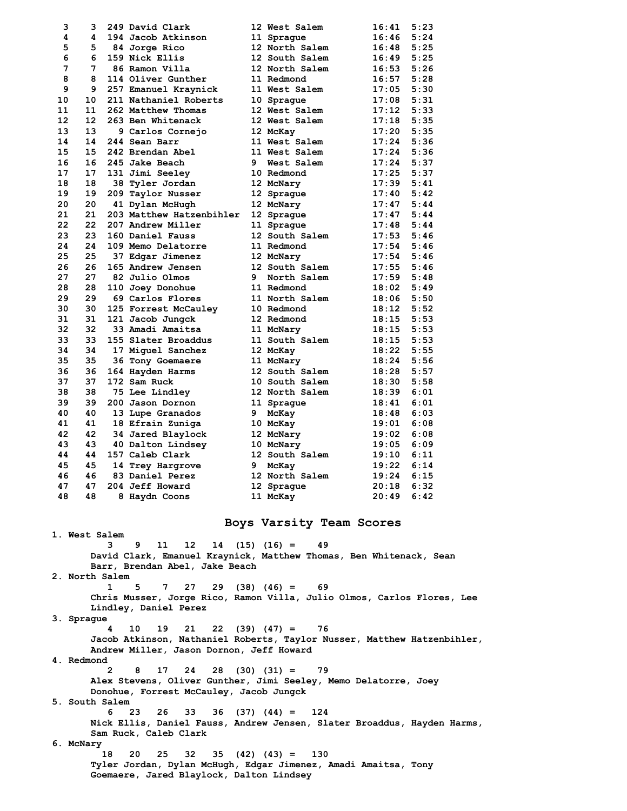| 3              | 3     |   | 249 David Clark                                                         |   | 12 West Salem            | 16:41          | 5:23 |
|----------------|-------|---|-------------------------------------------------------------------------|---|--------------------------|----------------|------|
| 4              | 4     |   | 194 Jacob Atkinson                                                      |   | 11 Spraque               | $16:46$ $5:24$ |      |
| 5              |       |   | 5 84 Jorge Rico                                                         |   | 12 North Salem           | $16:48$ 5:25   |      |
| 6              | 6     |   | 159 Nick Ellis                                                          |   | 12 South Salem           | $16:49$ $5:25$ |      |
| 7              | 7     |   | 86 Ramon Villa                                                          |   | 12 North Salem           | $16:53$ $5:26$ |      |
| 8              | 8     |   | 114 Oliver Gunther                                                      |   | 11 Redmond               | $16:57$ $5:28$ |      |
| 9              | 9     |   | 257 Emanuel Kraynick                                                    |   |                          |                |      |
|                |       |   |                                                                         |   | 11 West Salem            | $17:05$ 5:30   |      |
| 10             | 10    |   | 211 Nathaniel Roberts                                                   |   | 10 Spraque               | $17:08$ 5:31   |      |
| 11             | 11    |   | 262 Matthew Thomas                                                      |   | 12 West Salem            | $17:12$ 5:33   |      |
| 12             | 12    |   | 263 Ben Whitenack                                                       |   | 12 West Salem            | $17:18$ 5:35   |      |
| 13             | 13    |   | 9 Carlos Cornejo                                                        |   | 12 McKay                 | $17:20$ 5:35   |      |
| 14             | 14    |   | 244 Sean Barr                                                           |   | 11 West Salem            | $17:24$ 5:36   |      |
| 15             | 15    |   | 242 Brendan Abel                                                        |   | 11 West Salem            | 17:24 5:36     |      |
| 16             | 16    |   | 245 Jake Beach                                                          |   | 9 West Salem             | $17:24$ 5:37   |      |
| 17             | 17    |   | 131 Jimi Seeley                                                         |   | 10 Redmond               | $17:25$ 5:37   |      |
| 18             |       |   |                                                                         |   |                          |                |      |
|                | 18    |   | 38 Tyler Jordan                                                         |   | 12 McNary                | $17:39$ $5:41$ |      |
| 19             | 19    |   | 209 Taylor Nusser                                                       |   | 12 Sprague               | $17:40$ 5:42   |      |
| 20             | 20    |   | 41 Dylan McHugh                                                         |   | 12 McNary                | $17:47$ 5:44   |      |
| 21             | 21    |   | 203 Matthew Hatzenbihler                                                |   | 12 Sprague               | $17:47$ 5:44   |      |
| 22             | $22-$ |   | 207 Andrew Miller                                                       |   | 11 Spraque               | $17:48$ 5:44   |      |
| 23             | 23    |   | 160 Daniel Fauss                                                        |   | 12 South Salem           | $17:53$ $5:46$ |      |
| 24             | 24    |   | 109 Memo Delatorre                                                      |   | 11 Redmond               | $17:54$ $5:46$ |      |
| 25             | 25    |   | 37 Edgar Jimenez                                                        |   | 12 McNary                | $17:54$ $5:46$ |      |
| 26             | 26    |   | 165 Andrew Jensen                                                       |   | 12 South Salem           | $17:55$ $5:46$ |      |
|                |       |   |                                                                         |   |                          |                |      |
| 27             | 27    |   | 82 Julio Olmos                                                          | 9 | North Salem              | $17:59$ $5:48$ |      |
| 28             | 28    |   | 110 Joey Donohue                                                        |   | 11 Redmond               | $18:02$ 5:49   |      |
| 29             | 29    |   | 69 Carlos Flores                                                        |   | 11 North Salem           | $18:06$ 5:50   |      |
| 30             | 30    |   | 125 Forrest McCauley                                                    |   | 10 Redmond               | $18:12$ 5:52   |      |
| 31             | 31    |   | 121 Jacob Jungck                                                        |   | 12 Redmond               | $18:15$ 5:53   |      |
| 32             | 32    |   | 33 Amadi Amaitsa                                                        |   | 11 McNary                | $18:15$ 5:53   |      |
| 33             | 33    |   | 155 Slater Broaddus                                                     |   | 11 South Salem           | $18:15$ 5:53   |      |
| 34             | 34    |   | 17 Miguel Sanchez                                                       |   | 12 McKay                 | $18:22$ 5:55   |      |
| 35             | 35    |   | 36 Tony Goemaere                                                        |   | 11 McNary                | 18:24 5:56     |      |
|                |       |   |                                                                         |   |                          |                |      |
| 36             | 36    |   | 164 Hayden Harms                                                        |   | 12 South Salem           | 18:28 5:57     |      |
| 37             | 37    |   | 172 Sam Ruck                                                            |   | 10 South Salem           | $18:30$ $5:58$ |      |
| 38             | 38    |   | 75 Lee Lindley                                                          |   | 12 North Salem           | $18:39$ $6:01$ |      |
| 39             | 39    |   | 200 Jason Dornon                                                        |   | 11 Sprague               | $18:41$ $6:01$ |      |
| 40             | 40    |   | 13 Lupe Granados                                                        | 9 | McKay                    | $18:48$ 6:03   |      |
| 41             | 41    |   | 18 Efrain Zuniga                                                        |   | 10 McKay                 | $19:01$ 6:08   |      |
| 42             | 42    |   | 34 Jared Blaylock                                                       |   | 12 McNary                | $19:02$ 6:08   |      |
| 43             | 43    |   | 40 Dalton Lindsey                                                       |   | 10 McNary                | $19:05$ 6:09   |      |
| 44             | 44    |   | 157 Caleb Clark                                                         |   | 12 South Salem           | $19:10$ $6:11$ |      |
| 45             | 45    |   | 14 Trey Hargrove                                                        |   | 9 McKay                  | 19:22          | 6:14 |
|                |       |   |                                                                         |   |                          |                |      |
| 46             |       |   | 46 83 Daniel Perez                                                      |   | 12 North Salem           | $19:24$ 6:15   |      |
| 47             | 47    |   | 204 Jeff Howard                                                         |   | 12 Sprague               | $20:18$ 6:32   |      |
| 48             |       |   | 48 8 Haydn Coons                                                        |   | 11 McKay                 | $20:49$ 6:42   |      |
| 1. West Salem  |       |   |                                                                         |   | Boys Varsity Team Scores |                |      |
|                |       | 3 | 11<br>12<br>9.                                                          |   | $14$ (15) (16) =<br>49   |                |      |
|                |       |   | David Clark, Emanuel Kraynick, Matthew Thomas, Ben Whitenack, Sean      |   |                          |                |      |
|                |       |   | Barr, Brendan Abel, Jake Beach                                          |   |                          |                |      |
| 2. North Salem |       |   |                                                                         |   |                          |                |      |
|                |       | 1 | 27<br>5<br>7                                                            |   | $29$ (38) (46) = 69      |                |      |
|                |       |   | Chris Musser, Jorge Rico, Ramon Villa, Julio Olmos, Carlos Flores, Lee  |   |                          |                |      |
|                |       |   | Lindley, Daniel Perez                                                   |   |                          |                |      |
| 3. Sprague     |       |   |                                                                         |   |                          |                |      |
|                |       |   |                                                                         |   |                          |                |      |
|                |       | 4 | 10<br>$22(39)(47) =$<br>19<br>21                                        |   | 76                       |                |      |
|                |       |   | Jacob Atkinson, Nathaniel Roberts, Taylor Nusser, Matthew Hatzenbihler, |   |                          |                |      |
|                |       |   | Andrew Miller, Jason Dornon, Jeff Howard                                |   |                          |                |      |
| 4. Redmond     |       |   |                                                                         |   |                          |                |      |
|                |       | 2 | 8<br>17<br>24<br>28                                                     |   | $(30)$ $(31) =$<br>- 79  |                |      |
|                |       |   | Alex Stevens, Oliver Gunther, Jimi Seeley, Memo Delatorre, Joey         |   |                          |                |      |
|                |       |   | Donohue, Forrest McCauley, Jacob Jungck                                 |   |                          |                |      |
| 5. South Salem |       |   |                                                                         |   |                          |                |      |
|                |       | 6 | 26<br>33<br>36<br>23                                                    |   | $(37) (44) =$<br>124     |                |      |
|                |       |   |                                                                         |   |                          |                |      |

 **Nick Ellis, Daniel Fauss, Andrew Jensen, Slater Broaddus, Hayden Harms, Sam Ruck, Caleb Clark** 

 **6. McNary** 

 **18 20 25 32 35 (42) (43) = 130 Tyler Jordan, Dylan McHugh, Edgar Jimenez, Amadi Amaitsa, Tony Goemaere, Jared Blaylock, Dalton Lindsey**